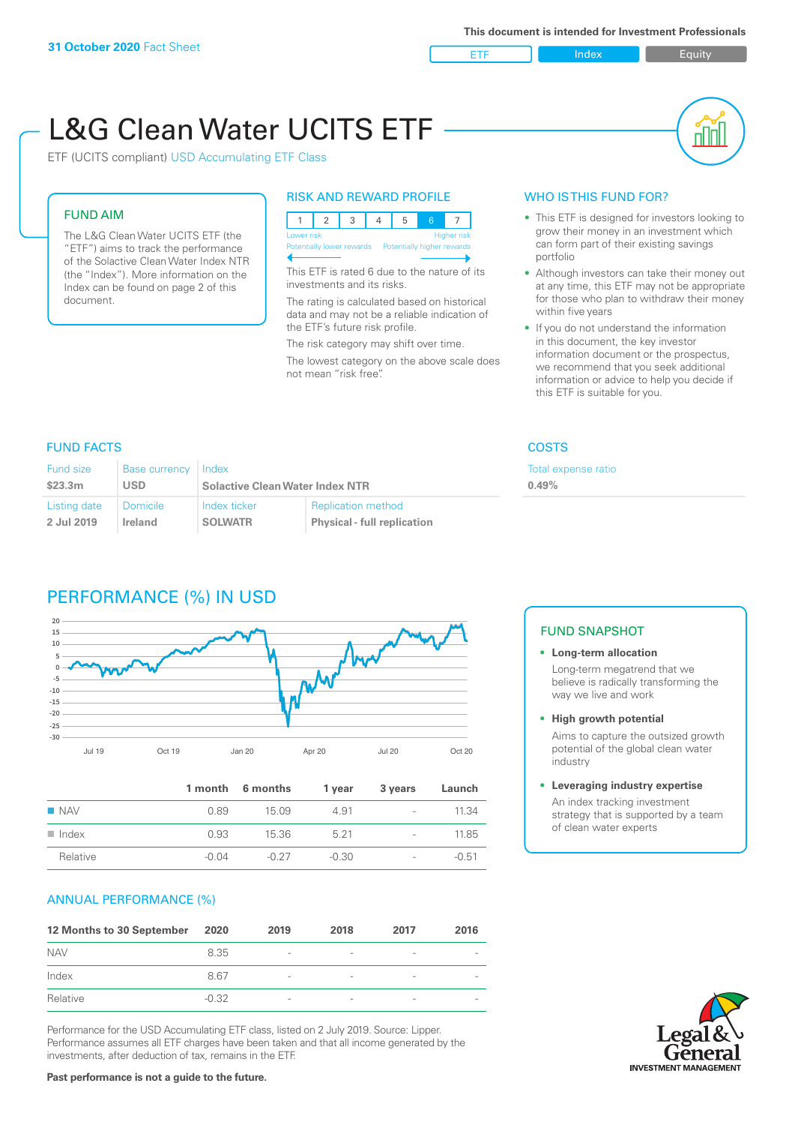**ETF** Index **Index** Equity

nN

# L&G Clean Water UCITS ETF

ETF (UCITS compliant) USD Accumulating ETF Class

# FUND AIM

The L&G Clean Water UCITS ETF (the "ETF") aims to track the performance of the Solactive Clean Water Index NTR (the "Index"). More information on the Index can be found on page 2 of this document.

#### RISK AND REWARD PROFILE



This ETF is rated 6 due to the nature of its investments and its risks.

The rating is calculated based on historical data and may not be a reliable indication of the ETF's future risk profile.

The risk category may shift over time. The lowest category on the above scale does not mean "risk free".

#### WHO IS THIS FUND FOR?

- This ETF is designed for investors looking to grow their money in an investment which can form part of their existing savings portfolio
- Although investors can take their money out at any time, this ETF may not be appropriate for those who plan to withdraw their money within five years
- If you do not understand the information in this document, the key investor information document or the prospectus, we recommend that you seek additional information or advice to help you decide if this ETF is suitable for you.

nse ratio

# FUND FACTS COSTS

| <b>Fund size</b> | Base currency | Index                                  |                                    | <b>Total exper</b> |
|------------------|---------------|----------------------------------------|------------------------------------|--------------------|
| \$23.3m          | USD           | <b>Solactive Clean Water Index NTR</b> |                                    | 0.49%              |
| Listing date     | Domicile      | Index ticker                           | <b>Replication method</b>          |                    |
| 2 Jul 2019       | Ireland       | <b>SOLWATR</b>                         | <b>Physical - full replication</b> |                    |

# PERFORMANCE (%) IN USD



|                      |         | 1 month 6 months | 1 year  | 3 years                  | Launch  |
|----------------------|---------|------------------|---------|--------------------------|---------|
| $\blacksquare$ NAV   | 0.89    | 15.09            | 4.91    | $\sim$                   | 11.34   |
| $\blacksquare$ Index | 0.93    | 15.36            | 5.21    | $\overline{\phantom{a}}$ | 11.85   |
| Relative             | $-0.04$ | $-0.27$          | $-0.30$ | $\overline{\phantom{a}}$ | $-0.51$ |

#### ANNUAL PERFORMANCE (%)

| 12 Months to 30 September | 2020    | 2019                     | 2018   | 2017                     | 2016                     |
|---------------------------|---------|--------------------------|--------|--------------------------|--------------------------|
| <b>NAV</b>                | 8.35    | $\overline{\phantom{a}}$ | $\sim$ | $\overline{\phantom{a}}$ | $\overline{\phantom{a}}$ |
| Index                     | 8.67    | $\overline{\phantom{a}}$ |        | $\qquad \qquad$          | $\overline{\phantom{a}}$ |
| Relative                  | $-0.32$ | $\qquad \qquad$          |        | $\overline{\phantom{0}}$ | $\overline{\phantom{a}}$ |

Performance for the USD Accumulating ETF class, listed on 2 July 2019. Source: Lipper. Performance assumes all ETF charges have been taken and that all income generated by the investments, after deduction of tax, remains in the ETF.

#### FUND SNAPSHOT

- **• Long-term allocation** Long-term megatrend that we believe is radically transforming the way we live and work
- **• High growth potential** Aims to capture the outsized growth

potential of the global clean water industry

#### **• Leveraging industry expertise**

An index tracking investment strategy that is supported by a team of clean water experts

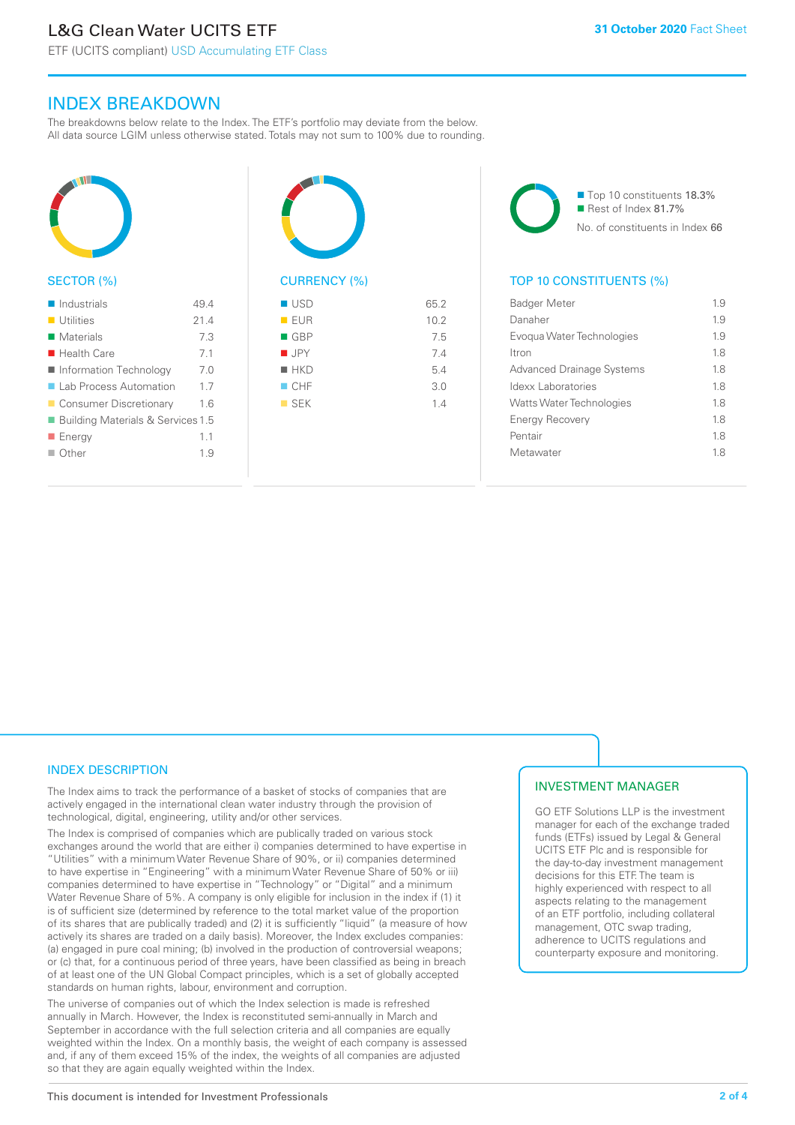ETF (UCITS compliant) USD Accumulating ETF Class

# INDEX BREAKDOWN

The breakdowns below relate to the Index. The ETF's portfolio may deviate from the below. All data source LGIM unless otherwise stated. Totals may not sum to 100% due to rounding.



#### SECTOR (%)

| $\blacksquare$ Industrials                   | 49.4 |
|----------------------------------------------|------|
| $\blacksquare$ Utilities                     | 214  |
| $\blacksquare$ Materials                     | 7.3  |
| $\blacksquare$ Health Care                   | 7.1  |
| ■ Information Technology                     | 7.0  |
| ■ Lab Process Automation                     | 17   |
| ■ Consumer Discretionary                     | 1.6  |
| <b>Building Materials &amp; Services 1.5</b> |      |
| ■ Energy                                     | 1.1  |
| $\Box$ Other                                 | 19   |
|                                              |      |



| EUR                | 10.2 |
|--------------------|------|
| $\blacksquare$ GBP | 7.5  |
| $\blacksquare$ JPY | 7.4  |
| $H$ HKD            | 5.4  |
| CHF                | 3.0  |
| $\blacksquare$ SEK | 1.4  |
|                    |      |
|                    |      |

■ Top 10 constituents 18.3% Rest of Index 81.7% No. of constituents in Index 66

# TOP 10 CONSTITUENTS (%)

| <b>Badger Meter</b>              | 1.9 |
|----------------------------------|-----|
| Danaher                          | 1.9 |
| Evogua Water Technologies        | 19  |
| <b>Itron</b>                     | 18  |
| <b>Advanced Drainage Systems</b> | 1.8 |
| Idexx Laboratories               | 18  |
| <b>Watts Water Technologies</b>  | 18  |
| <b>Energy Recovery</b>           | 18  |
| Pentair                          | 18  |
| Metawater                        | 18  |
|                                  |     |

#### INDEX DESCRIPTION

The Index aims to track the performance of a basket of stocks of companies that are actively engaged in the international clean water industry through the provision of technological, digital, engineering, utility and/or other services.

The Index is comprised of companies which are publically traded on various stock exchanges around the world that are either i) companies determined to have expertise in "Utilities" with a minimum Water Revenue Share of 90%, or ii) companies determined to have expertise in "Engineering" with a minimum Water Revenue Share of 50% or iii) companies determined to have expertise in "Technology" or "Digital" and a minimum Water Revenue Share of 5%. A company is only eligible for inclusion in the index if (1) it is of sufficient size (determined by reference to the total market value of the proportion of its shares that are publically traded) and (2) it is sufficiently "liquid" (a measure of how actively its shares are traded on a daily basis). Moreover, the Index excludes companies: (a) engaged in pure coal mining; (b) involved in the production of controversial weapons; or (c) that, for a continuous period of three years, have been classified as being in breach of at least one of the UN Global Compact principles, which is a set of globally accepted standards on human rights, labour, environment and corruption.

The universe of companies out of which the Index selection is made is refreshed annually in March. However, the Index is reconstituted semi-annually in March and September in accordance with the full selection criteria and all companies are equally weighted within the Index. On a monthly basis, the weight of each company is assessed and, if any of them exceed 15% of the index, the weights of all companies are adjusted so that they are again equally weighted within the Index.

#### INVESTMENT MANAGER

GO ETF Solutions LLP is the investment manager for each of the exchange traded funds (ETFs) issued by Legal & General UCITS ETF Plc and is responsible for the day-to-day investment management decisions for this ETF. The team is highly experienced with respect to all aspects relating to the management of an ETF portfolio, including collateral management, OTC swap trading, adherence to UCITS regulations and counterparty exposure and monitoring.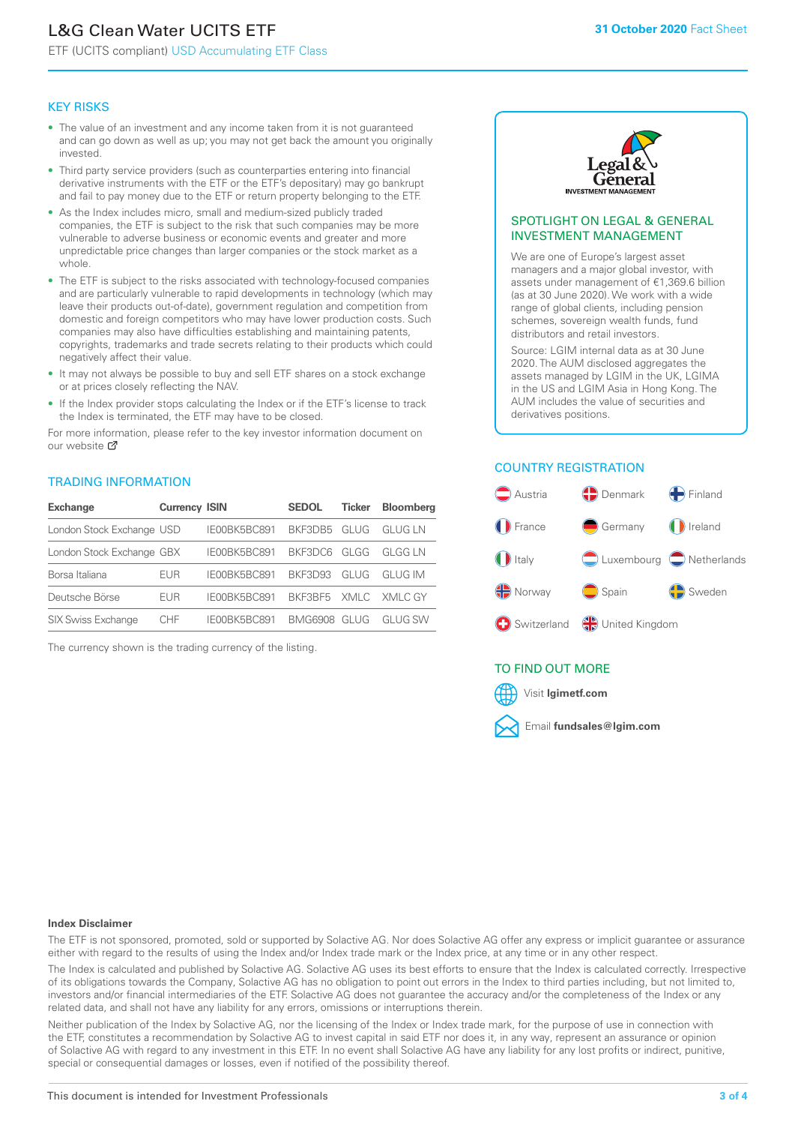# L&G Clean Water UCITS ETF

ETF (UCITS compliant) USD Accumulating ETF Class

#### KEY RISKS

- The value of an investment and any income taken from it is not guaranteed and can go down as well as up; you may not get back the amount you originally invested.
- Third party service providers (such as counterparties entering into financial derivative instruments with the ETF or the ETF's depositary) may go bankrupt and fail to pay money due to the ETF or return property belonging to the ETF.
- As the Index includes micro, small and medium-sized publicly traded companies, the ETF is subject to the risk that such companies may be more vulnerable to adverse business or economic events and greater and more unpredictable price changes than larger companies or the stock market as a whole.
- The ETF is subject to the risks associated with technology-focused companies and are particularly vulnerable to rapid developments in technology (which may leave their products out-of-date), government regulation and competition from domestic and foreign competitors who may have lower production costs. Such companies may also have difficulties establishing and maintaining patents, copyrights, trademarks and trade secrets relating to their products which could negatively affect their value.
- It may not always be possible to buy and sell ETF shares on a stock exchange or at prices closely reflecting the NAV.
- If the Index provider stops calculating the Index or if the ETF's license to track the Index is terminated, the ETF may have to be closed.

For more information, please refer to the key investor information document on our website ぴ

#### TRADING INFORMATION

| <b>Exchange</b>           | <b>Currency ISIN</b> |              | <b>SEDOL</b>   | Ticker | <b>Bloomberg</b> |
|---------------------------|----------------------|--------------|----------------|--------|------------------|
| London Stock Exchange USD |                      | IE00BK5BC891 | BKF3DB5        | GLUG   | GI UG I N        |
| London Stock Exchange GBX |                      | IE00BK5BC891 | BKF3DC6        | GLGG   | GI GG I N        |
| Borsa Italiana            | EUR                  | IE00BK5BC891 | <b>BKE3D93</b> | GLUG   | GI UG IM         |
| Deutsche Börse            | EUR                  | IE00BK5BC891 | BKF3BF5        |        | XMLC XMLC GY     |
| <b>SIX Swiss Exchange</b> | CHE                  | IF00BK5BC891 | BMG6908        | GI UG  | GI UG SW         |

The currency shown is the trading currency of the listing.



#### SPOTLIGHT ON LEGAL & GENERAL INVESTMENT MANAGEMENT

We are one of Europe's largest asset managers and a major global investor, with assets under management of €1,369.6 billion (as at 30 June 2020). We work with a wide range of global clients, including pension schemes, sovereign wealth funds, fund distributors and retail investors.

Source: LGIM internal data as at 30 June 2020. The AUM disclosed aggregates the assets managed by LGIM in the UK, LGIMA in the US and LGIM Asia in Hong Kong. The AUM includes the value of securities and derivatives positions.

# COUNTRY REGISTRATION



#### TO FIND OUT MORE



#### **Index Disclaimer**

The ETF is not sponsored, promoted, sold or supported by Solactive AG. Nor does Solactive AG offer any express or implicit guarantee or assurance either with regard to the results of using the Index and/or Index trade mark or the Index price, at any time or in any other respect.

The Index is calculated and published by Solactive AG. Solactive AG uses its best efforts to ensure that the Index is calculated correctly. Irrespective of its obligations towards the Company, Solactive AG has no obligation to point out errors in the Index to third parties including, but not limited to, investors and/or financial intermediaries of the ETF. Solactive AG does not guarantee the accuracy and/or the completeness of the Index or any related data, and shall not have any liability for any errors, omissions or interruptions therein.

Neither publication of the Index by Solactive AG, nor the licensing of the Index or Index trade mark, for the purpose of use in connection with the ETF, constitutes a recommendation by Solactive AG to invest capital in said ETF nor does it, in any way, represent an assurance or opinion of Solactive AG with regard to any investment in this ETF. In no event shall Solactive AG have any liability for any lost profits or indirect, punitive, special or consequential damages or losses, even if notified of the possibility thereof.